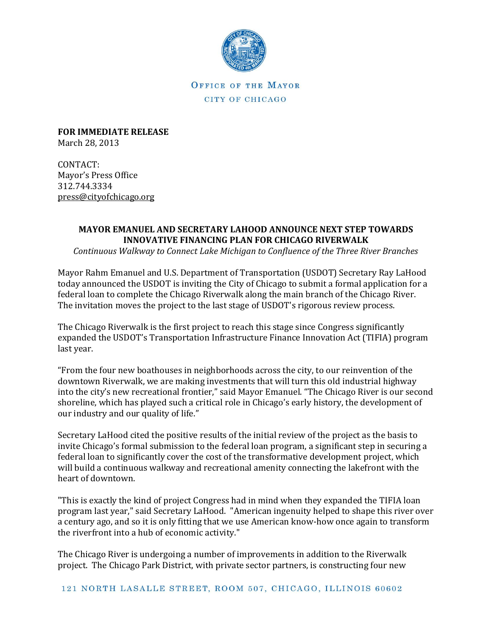

OFFICE OF THE MAYOR CITY OF CHICAGO

**FOR IMMEDIATE RELEASE** March 28, 2013

CONTACT: Mayor's Press Office 312.744.3334 [press@cityofchicago.org](mailto:press@cityofchicago.org)

## **MAYOR EMANUEL AND SECRETARY LAHOOD ANNOUNCE NEXT STEP TOWARDS INNOVATIVE FINANCING PLAN FOR CHICAGO RIVERWALK**

*Continuous Walkway to Connect Lake Michigan to Confluence of the Three River Branches*

Mayor Rahm Emanuel and U.S. Department of Transportation (USDOT) Secretary Ray LaHood today announced the USDOT is inviting the City of Chicago to submit a formal application for a federal loan to complete the Chicago Riverwalk along the main branch of the Chicago River. The invitation moves the project to the last stage of USDOT's rigorous review process.

The Chicago Riverwalk is the first project to reach this stage since Congress significantly expanded the USDOT's Transportation Infrastructure Finance Innovation Act (TIFIA) program last year.

"From the four new boathouses in neighborhoods across the city, to our reinvention of the downtown Riverwalk, we are making investments that will turn this old industrial highway into the city's new recreational frontier," said Mayor Emanuel. "The Chicago River is our second shoreline, which has played such a critical role in Chicago's early history, the development of our industry and our quality of life."

Secretary LaHood cited the positive results of the initial review of the project as the basis to invite Chicago's formal submission to the federal loan program, a significant step in securing a federal loan to significantly cover the cost of the transformative development project, which will build a continuous walkway and recreational amenity connecting the lakefront with the heart of downtown.

"This is exactly the kind of project Congress had in mind when they expanded the TIFIA loan program last year," said Secretary LaHood. "American ingenuity helped to shape this river over a century ago, and so it is only fitting that we use American know-how once again to transform the riverfront into a hub of economic activity."

The Chicago River is undergoing a number of improvements in addition to the Riverwalk project. The Chicago Park District, with private sector partners, is constructing four new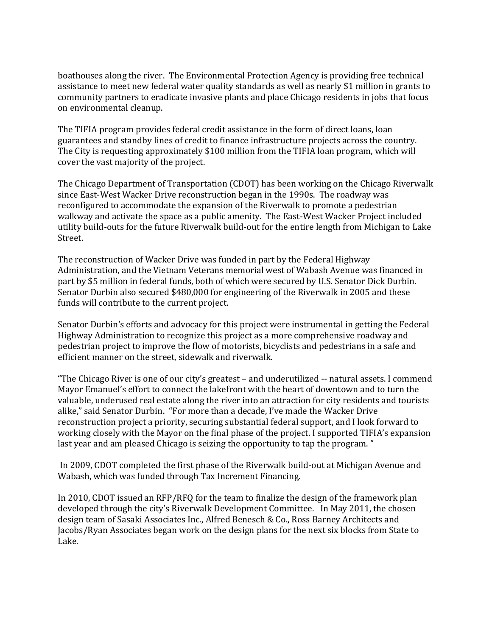boathouses along the river. The Environmental Protection Agency is providing free technical assistance to meet new federal water quality standards as well as nearly \$1 million in grants to community partners to eradicate invasive plants and place Chicago residents in jobs that focus on environmental cleanup.

The TIFIA program provides federal credit assistance in the form of direct loans, loan guarantees and standby lines of credit to finance infrastructure projects across the country. The City is requesting approximately \$100 million from the TIFIA loan program, which will cover the vast majority of the project.

The Chicago Department of Transportation (CDOT) has been working on the Chicago Riverwalk since East-West Wacker Drive reconstruction began in the 1990s. The roadway was reconfigured to accommodate the expansion of the Riverwalk to promote a pedestrian walkway and activate the space as a public amenity. The East-West Wacker Project included utility build-outs for the future Riverwalk build-out for the entire length from Michigan to Lake Street.

The reconstruction of Wacker Drive was funded in part by the Federal Highway Administration, and the Vietnam Veterans memorial west of Wabash Avenue was financed in part by \$5 million in federal funds, both of which were secured by U.S. Senator Dick Durbin. Senator Durbin also secured \$480,000 for engineering of the Riverwalk in 2005 and these funds will contribute to the current project.

Senator Durbin's efforts and advocacy for this project were instrumental in getting the Federal Highway Administration to recognize this project as a more comprehensive roadway and pedestrian project to improve the flow of motorists, bicyclists and pedestrians in a safe and efficient manner on the street, sidewalk and riverwalk.

"The Chicago River is one of our city's greatest – and underutilized -- natural assets. I commend Mayor Emanuel's effort to connect the lakefront with the heart of downtown and to turn the valuable, underused real estate along the river into an attraction for city residents and tourists alike," said Senator Durbin. "For more than a decade, I've made the Wacker Drive reconstruction project a priority, securing substantial federal support, and I look forward to working closely with the Mayor on the final phase of the project. I supported TIFIA's expansion last year and am pleased Chicago is seizing the opportunity to tap the program. "

In 2009, CDOT completed the first phase of the Riverwalk build-out at Michigan Avenue and Wabash, which was funded through Tax Increment Financing.

In 2010, CDOT issued an RFP/RFQ for the team to finalize the design of the framework plan developed through the city's Riverwalk Development Committee. In May 2011, the chosen design team of Sasaki Associates Inc., Alfred Benesch & Co., Ross Barney Architects and Jacobs/Ryan Associates began work on the design plans for the next six blocks from State to Lake.